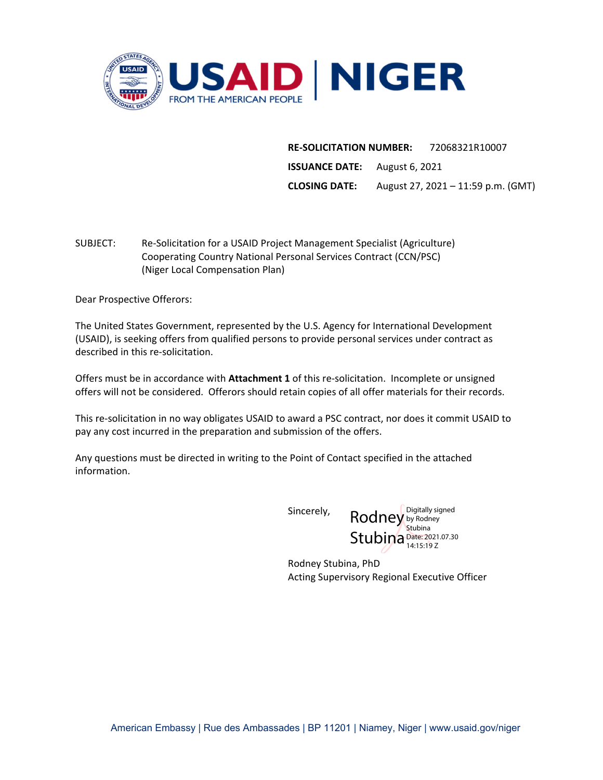

**RE‐SOLICITATION NUMBER:**  72068321R10007 **ISSUANCE DATE:** August 6, 2021 **CLOSING DATE:** August 27, 2021 – 11:59 p.m. (GMT)

SUBJECT: Re‐Solicitation for a USAID Project Management Specialist (Agriculture) Cooperating Country National Personal Services Contract (CCN/PSC) (Niger Local Compensation Plan)

Dear Prospective Offerors:

The United States Government, represented by the U.S. Agency for International Development (USAID), is seeking offers from qualified persons to provide personal services under contract as described in this re‐solicitation.

Offers must be in accordance with **Attachment 1** of this re‐solicitation. Incomplete or unsigned offers will not be considered. Offerors should retain copies of all offer materials for their records.

This re‐solicitation in no way obligates USAID to award a PSC contract, nor does it commit USAID to pay any cost incurred in the preparation and submission of the offers.

Any questions must be directed in writing to the Point of Contact specified in the attached information.

Sincerely,

Rodney by Rodney Stubina Date: 2021.07.30 Digitally signed **Stubina** 14:15:19 Z

Rodney Stubina, PhD Acting Supervisory Regional Executive Officer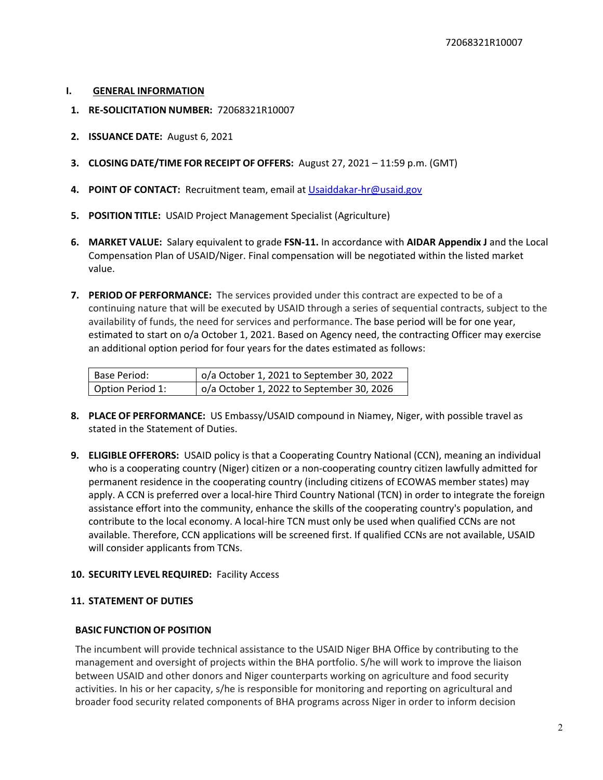- **I. GENERAL INFORMATION**
- **1. RE‐SOLICITATION NUMBER:** 72068321R10007
- **2. ISSUANCE DATE:** August 6, 2021
- **3. CLOSING DATE/TIME FOR RECEIPT OF OFFERS:** August 27, 2021 11:59 p.m. (GMT)
- **4. POINT OF CONTACT:** Recruitment team, email at Usaiddakar‐hr@usaid.gov
- **5. POSITION TITLE:** USAID Project Management Specialist (Agriculture)
- **6. MARKET VALUE:** Salary equivalent to grade **FSN‐11.** In accordance with **AIDAR Appendix J** and the Local Compensation Plan of USAID/Niger. Final compensation will be negotiated within the listed market value.
- **7. PERIOD OF PERFORMANCE:** The services provided under this contract are expected to be of a continuing nature that will be executed by USAID through a series of sequential contracts, subject to the availability of funds, the need for services and performance. The base period will be for one year, estimated to start on o/a October 1, 2021. Based on Agency need, the contracting Officer may exercise an additional option period for four years for the dates estimated as follows:

| Base Period:     | o/a October 1, 2021 to September 30, 2022         |
|------------------|---------------------------------------------------|
| Option Period 1: | $\vert$ o/a October 1, 2022 to September 30, 2026 |

- **8. PLACE OF PERFORMANCE:** US Embassy/USAID compound in Niamey, Niger, with possible travel as stated in the Statement of Duties.
- **9. ELIGIBLE OFFERORS:** USAID policy is that a Cooperating Country National (CCN), meaning an individual who is a cooperating country (Niger) citizen or a non‐cooperating country citizen lawfully admitted for permanent residence in the cooperating country (including citizens of ECOWAS member states) may apply. A CCN is preferred over a local-hire Third Country National (TCN) in order to integrate the foreign assistance effort into the community, enhance the skills of the cooperating country's population, and contribute to the local economy. A local‐hire TCN must only be used when qualified CCNs are not available. Therefore, CCN applications will be screened first. If qualified CCNs are not available, USAID will consider applicants from TCNs.

#### **10. SECURITY LEVEL REQUIRED:** Facility Access

#### **11. STATEMENT OF DUTIES**

#### **BASIC FUNCTION OF POSITION**

The incumbent will provide technical assistance to the USAID Niger BHA Office by contributing to the management and oversight of projects within the BHA portfolio. S/he will work to improve the liaison between USAID and other donors and Niger counterparts working on agriculture and food security activities. In his or her capacity, s/he is responsible for monitoring and reporting on agricultural and broader food security related components of BHA programs across Niger in order to inform decision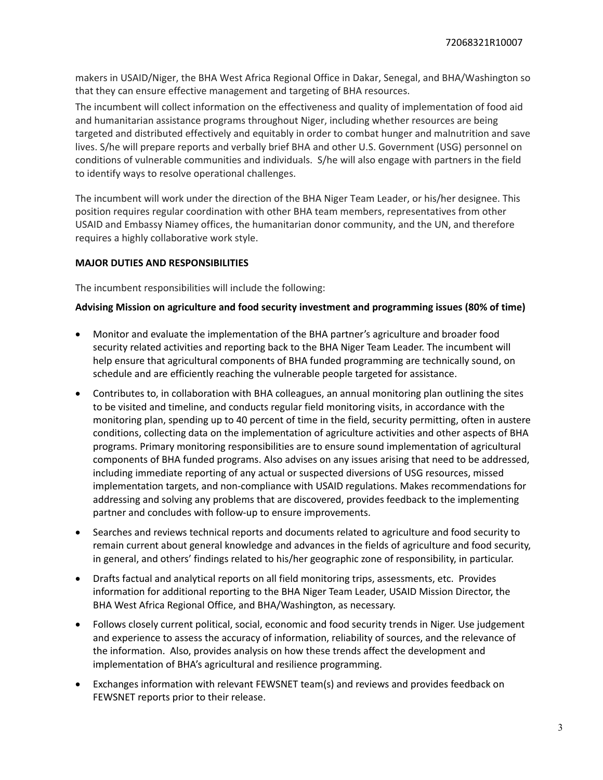makers in USAID/Niger, the BHA West Africa Regional Office in Dakar, Senegal, and BHA/Washington so that they can ensure effective management and targeting of BHA resources.

The incumbent will collect information on the effectiveness and quality of implementation of food aid and humanitarian assistance programs throughout Niger, including whether resources are being targeted and distributed effectively and equitably in order to combat hunger and malnutrition and save lives. S/he will prepare reports and verbally brief BHA and other U.S. Government (USG) personnel on conditions of vulnerable communities and individuals. S/he will also engage with partners in the field to identify ways to resolve operational challenges.

The incumbent will work under the direction of the BHA Niger Team Leader, or his/her designee. This position requires regular coordination with other BHA team members, representatives from other USAID and Embassy Niamey offices, the humanitarian donor community, and the UN, and therefore requires a highly collaborative work style.

### **MAJOR DUTIES AND RESPONSIBILITIES**

The incumbent responsibilities will include the following:

### **Advising Mission on agriculture and food security investment and programming issues (80% of time)**

- Monitor and evaluate the implementation of the BHA partner's agriculture and broader food security related activities and reporting back to the BHA Niger Team Leader. The incumbent will help ensure that agricultural components of BHA funded programming are technically sound, on schedule and are efficiently reaching the vulnerable people targeted for assistance.
- Contributes to, in collaboration with BHA colleagues, an annual monitoring plan outlining the sites to be visited and timeline, and conducts regular field monitoring visits, in accordance with the monitoring plan, spending up to 40 percent of time in the field, security permitting, often in austere conditions, collecting data on the implementation of agriculture activities and other aspects of BHA programs. Primary monitoring responsibilities are to ensure sound implementation of agricultural components of BHA funded programs. Also advises on any issues arising that need to be addressed, including immediate reporting of any actual or suspected diversions of USG resources, missed implementation targets, and non‐compliance with USAID regulations. Makes recommendations for addressing and solving any problems that are discovered, provides feedback to the implementing partner and concludes with follow-up to ensure improvements.
- Searches and reviews technical reports and documents related to agriculture and food security to remain current about general knowledge and advances in the fields of agriculture and food security, in general, and others' findings related to his/her geographic zone of responsibility, in particular.
- Drafts factual and analytical reports on all field monitoring trips, assessments, etc. Provides information for additional reporting to the BHA Niger Team Leader, USAID Mission Director, the BHA West Africa Regional Office, and BHA/Washington, as necessary.
- Follows closely current political, social, economic and food security trends in Niger. Use judgement and experience to assess the accuracy of information, reliability of sources, and the relevance of the information. Also, provides analysis on how these trends affect the development and implementation of BHA's agricultural and resilience programming.
- Exchanges information with relevant FEWSNET team(s) and reviews and provides feedback on FEWSNET reports prior to their release.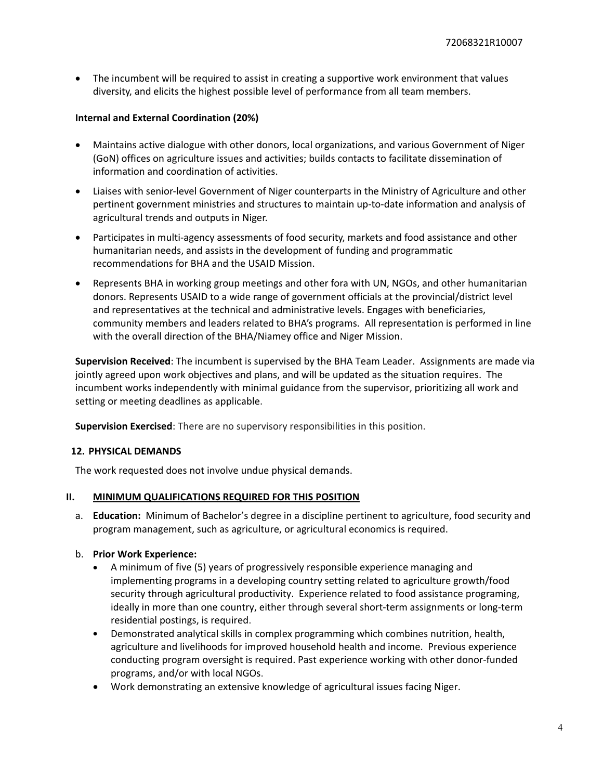The incumbent will be required to assist in creating a supportive work environment that values diversity, and elicits the highest possible level of performance from all team members.

### **Internal and External Coordination (20%)**

- Maintains active dialogue with other donors, local organizations, and various Government of Niger (GoN) offices on agriculture issues and activities; builds contacts to facilitate dissemination of information and coordination of activities.
- Liaises with senior‐level Government of Niger counterparts in the Ministry of Agriculture and other pertinent government ministries and structures to maintain up-to-date information and analysis of agricultural trends and outputs in Niger.
- Participates in multi-agency assessments of food security, markets and food assistance and other humanitarian needs, and assists in the development of funding and programmatic recommendations for BHA and the USAID Mission.
- Represents BHA in working group meetings and other fora with UN, NGOs, and other humanitarian donors. Represents USAID to a wide range of government officials at the provincial/district level and representatives at the technical and administrative levels. Engages with beneficiaries, community members and leaders related to BHA's programs. All representation is performed in line with the overall direction of the BHA/Niamey office and Niger Mission.

**Supervision Received**: The incumbent is supervised by the BHA Team Leader. Assignments are made via jointly agreed upon work objectives and plans, and will be updated as the situation requires. The incumbent works independently with minimal guidance from the supervisor, prioritizing all work and setting or meeting deadlines as applicable.

**Supervision Exercised**: There are no supervisory responsibilities in this position.

### **12. PHYSICAL DEMANDS**

The work requested does not involve undue physical demands.

#### **II. MINIMUM QUALIFICATIONS REQUIRED FOR THIS POSITION**

a. **Education:** Minimum of Bachelor's degree in a discipline pertinent to agriculture, food security and program management, such as agriculture, or agricultural economics is required.

#### b. **Prior Work Experience:**

- A minimum of five (5) years of progressively responsible experience managing and implementing programs in a developing country setting related to agriculture growth/food security through agricultural productivity. Experience related to food assistance programing, ideally in more than one country, either through several short-term assignments or long-term residential postings, is required.
- Demonstrated analytical skills in complex programming which combines nutrition, health, agriculture and livelihoods for improved household health and income. Previous experience conducting program oversight is required. Past experience working with other donor‐funded programs, and/or with local NGOs.
- Work demonstrating an extensive knowledge of agricultural issues facing Niger.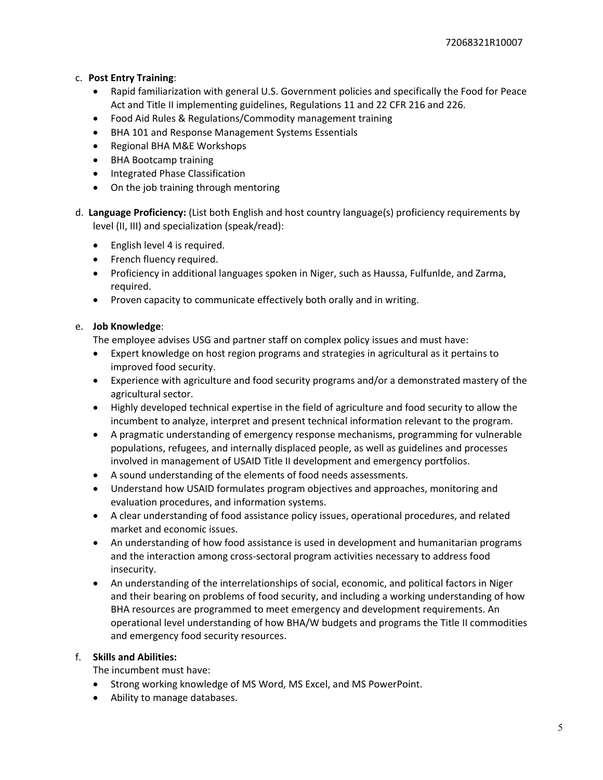## c. **Post Entry Training**:

- Rapid familiarization with general U.S. Government policies and specifically the Food for Peace Act and Title II implementing guidelines, Regulations 11 and 22 CFR 216 and 226.
- Food Aid Rules & Regulations/Commodity management training
- BHA 101 and Response Management Systems Essentials
- Regional BHA M&E Workshops
- BHA Bootcamp training
- Integrated Phase Classification
- On the job training through mentoring
- d. **Language Proficiency:** (List both English and host country language(s) proficiency requirements by level (II, III) and specialization (speak/read):
	- English level 4 is required.
	- French fluency required.
	- Proficiency in additional languages spoken in Niger, such as Haussa, Fulfunlde, and Zarma, required.
	- Proven capacity to communicate effectively both orally and in writing.

### e. **Job Knowledge**:

The employee advises USG and partner staff on complex policy issues and must have:

- Expert knowledge on host region programs and strategies in agricultural as it pertains to improved food security.
- Experience with agriculture and food security programs and/or a demonstrated mastery of the agricultural sector.
- Highly developed technical expertise in the field of agriculture and food security to allow the incumbent to analyze, interpret and present technical information relevant to the program.
- A pragmatic understanding of emergency response mechanisms, programming for vulnerable populations, refugees, and internally displaced people, as well as guidelines and processes involved in management of USAID Title II development and emergency portfolios.
- A sound understanding of the elements of food needs assessments.
- Understand how USAID formulates program objectives and approaches, monitoring and evaluation procedures, and information systems.
- A clear understanding of food assistance policy issues, operational procedures, and related market and economic issues.
- An understanding of how food assistance is used in development and humanitarian programs and the interaction among cross‐sectoral program activities necessary to address food insecurity.
- An understanding of the interrelationships of social, economic, and political factors in Niger and their bearing on problems of food security, and including a working understanding of how BHA resources are programmed to meet emergency and development requirements. An operational level understanding of how BHA/W budgets and programs the Title II commodities and emergency food security resources.

### f. **Skills and Abilities:**

The incumbent must have:

- Strong working knowledge of MS Word, MS Excel, and MS PowerPoint.
- Ability to manage databases.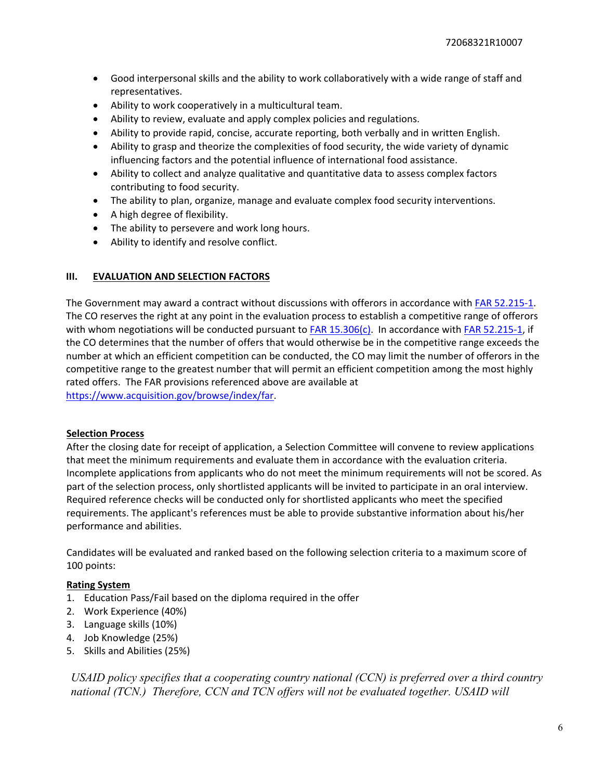- Good interpersonal skills and the ability to work collaboratively with a wide range of staff and representatives.
- Ability to work cooperatively in a multicultural team.
- Ability to review, evaluate and apply complex policies and regulations.
- Ability to provide rapid, concise, accurate reporting, both verbally and in written English.
- Ability to grasp and theorize the complexities of food security, the wide variety of dynamic influencing factors and the potential influence of international food assistance.
- Ability to collect and analyze qualitative and quantitative data to assess complex factors contributing to food security.
- The ability to plan, organize, manage and evaluate complex food security interventions.
- A high degree of flexibility.
- The ability to persevere and work long hours.
- Ability to identify and resolve conflict.

### **III. EVALUATION AND SELECTION FACTORS**

The Government may award a contract without discussions with offerors in accordance with FAR 52.215-1. The CO reserves the right at any point in the evaluation process to establish a competitive range of offerors with whom negotiations will be conducted pursuant to FAR 15.306(c). In accordance with FAR 52.215-1, if the CO determines that the number of offers that would otherwise be in the competitive range exceeds the number at which an efficient competition can be conducted, the CO may limit the number of offerors in the competitive range to the greatest number that will permit an efficient competition among the most highly rated offers. The FAR provisions referenced above are available at https://www.acquisition.gov/browse/index/far.

### **Selection Process**

After the closing date for receipt of application, a Selection Committee will convene to review applications that meet the minimum requirements and evaluate them in accordance with the evaluation criteria. Incomplete applications from applicants who do not meet the minimum requirements will not be scored. As part of the selection process, only shortlisted applicants will be invited to participate in an oral interview. Required reference checks will be conducted only for shortlisted applicants who meet the specified requirements. The applicant's references must be able to provide substantive information about his/her performance and abilities.

Candidates will be evaluated and ranked based on the following selection criteria to a maximum score of 100 points:

# **Rating System**

- 1. Education Pass/Fail based on the diploma required in the offer
- 2. Work Experience (40%)
- 3. Language skills (10%)
- 4. Job Knowledge (25%)
- 5. Skills and Abilities (25%)

*USAID policy specifies that a cooperating country national (CCN) is preferred over a third country national (TCN.) Therefore, CCN and TCN offers will not be evaluated together. USAID will*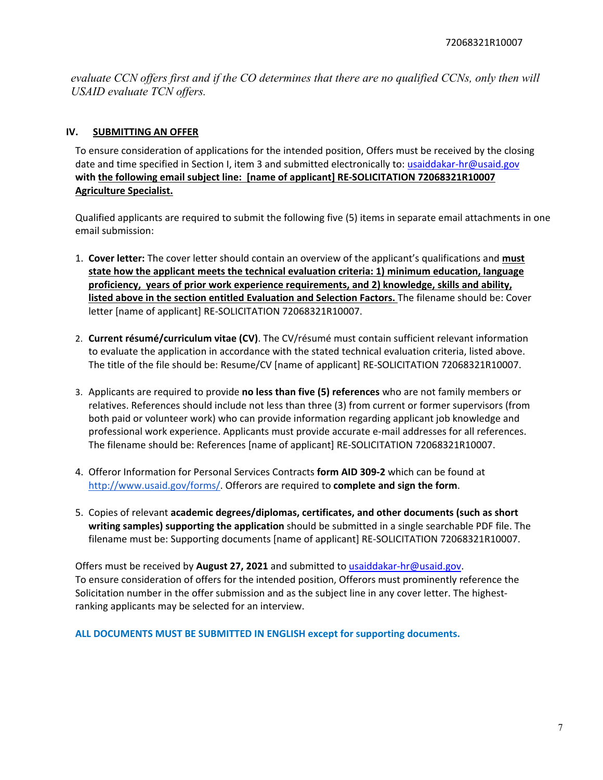*evaluate CCN offers first and if the CO determines that there are no qualified CCNs, only then will USAID evaluate TCN offers.* 

## **IV. SUBMITTING AN OFFER**

To ensure consideration of applications for the intended position, Offers must be received by the closing date and time specified in Section I, item 3 and submitted electronically to: usaiddakar-hr@usaid.gov **with the following email subject line: [name of applicant] RE‐SOLICITATION 72068321R10007 Agriculture Specialist.**

Qualified applicants are required to submit the following five (5) items in separate email attachments in one email submission:

- 1. **Cover letter:** The cover letter should contain an overview of the applicant's qualifications and **must state how the applicant meets the technical evaluation criteria: 1) minimum education, language proficiency, years of prior work experience requirements, and 2) knowledge, skills and ability, listed above in the section entitled Evaluation and Selection Factors.** The filename should be: Cover letter [name of applicant] RE‐SOLICITATION 72068321R10007.
- 2. **Current résumé/curriculum vitae (CV)**. The CV/résumé must contain sufficient relevant information to evaluate the application in accordance with the stated technical evaluation criteria, listed above. The title of the file should be: Resume/CV [name of applicant] RE‐SOLICITATION 72068321R10007.
- 3. Applicants are required to provide **no less than five (5) references** who are not family members or relatives. References should include not less than three (3) from current or former supervisors (from both paid or volunteer work) who can provide information regarding applicant job knowledge and professional work experience. Applicants must provide accurate e‐mail addresses for all references. The filename should be: References [name of applicant] RE‐SOLICITATION 72068321R10007.
- 4. Offeror Information for Personal Services Contracts **form AID 309‐2** which can be found at http://www.usaid.gov/forms/. Offerors are required to **complete and sign the form**.
- 5. Copies of relevant **academic degrees/diplomas, certificates, and other documents (such as short writing samples) supporting the application** should be submitted in a single searchable PDF file. The filename must be: Supporting documents [name of applicant] RE‐SOLICITATION 72068321R10007.

Offers must be received by **August 27, 2021** and submitted to usaiddakar‐hr@usaid.gov. To ensure consideration of offers for the intended position, Offerors must prominently reference the Solicitation number in the offer submission and as the subject line in any cover letter. The highestranking applicants may be selected for an interview.

**ALL DOCUMENTS MUST BE SUBMITTED IN ENGLISH except for supporting documents.**